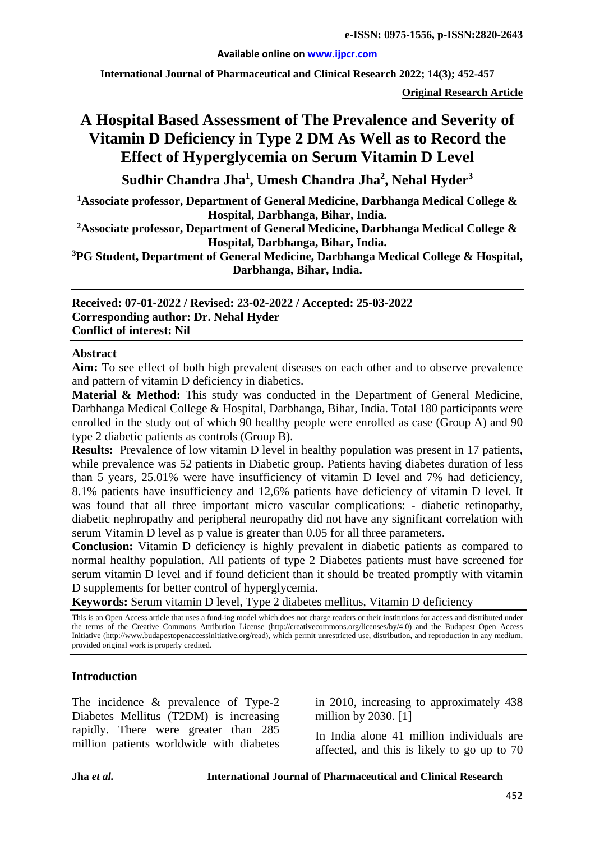#### **Available online on [www.ijpcr.com](http://www.ijpcr.com/)**

**International Journal of Pharmaceutical and Clinical Research 2022; 14(3); 452-457**

**Original Research Article**

# **A Hospital Based Assessment of The Prevalence and Severity of Vitamin D Deficiency in Type 2 DM As Well as to Record the Effect of Hyperglycemia on Serum Vitamin D Level**

**Sudhir Chandra Jha1 , Umesh Chandra Jha2 , Nehal Hyder<sup>3</sup>**

**1 Associate professor, Department of General Medicine, Darbhanga Medical College & Hospital, Darbhanga, Bihar, India.**

**2Associate professor, Department of General Medicine, Darbhanga Medical College & Hospital, Darbhanga, Bihar, India.**

**3 PG Student, Department of General Medicine, Darbhanga Medical College & Hospital, Darbhanga, Bihar, India.**

**Received: 07-01-2022 / Revised: 23-02-2022 / Accepted: 25-03-2022 Corresponding author: Dr. Nehal Hyder Conflict of interest: Nil**

#### **Abstract**

**Aim:** To see effect of both high prevalent diseases on each other and to observe prevalence and pattern of vitamin D deficiency in diabetics.

**Material & Method:** This study was conducted in the Department of General Medicine, Darbhanga Medical College & Hospital, Darbhanga, Bihar, India. Total 180 participants were enrolled in the study out of which 90 healthy people were enrolled as case (Group A) and 90 type 2 diabetic patients as controls (Group B).

**Results:** Prevalence of low vitamin D level in healthy population was present in 17 patients, while prevalence was 52 patients in Diabetic group. Patients having diabetes duration of less than 5 years, 25.01% were have insufficiency of vitamin D level and 7% had deficiency, 8.1% patients have insufficiency and 12,6% patients have deficiency of vitamin D level. It was found that all three important micro vascular complications: - diabetic retinopathy, diabetic nephropathy and peripheral neuropathy did not have any significant correlation with serum Vitamin D level as p value is greater than 0.05 for all three parameters.

**Conclusion:** Vitamin D deficiency is highly prevalent in diabetic patients as compared to normal healthy population. All patients of type 2 Diabetes patients must have screened for serum vitamin D level and if found deficient than it should be treated promptly with vitamin D supplements for better control of hyperglycemia.

**Keywords:** Serum vitamin D level, Type 2 diabetes mellitus, Vitamin D deficiency

This is an Open Access article that uses a fund-ing model which does not charge readers or their institutions for access and distributed under the terms of the Creative Commons Attribution License (http://creativecommons.org/licenses/by/4.0) and the Budapest Open Access Initiative (http://www.budapestopenaccessinitiative.org/read), which permit unrestricted use, distribution, and reproduction in any medium, provided original work is properly credited.

#### **Introduction**

The incidence & prevalence of Type-2 Diabetes Mellitus (T2DM) is increasing rapidly. There were greater than 285 million patients worldwide with diabetes in 2010, increasing to approximately 438 million by 2030. [1]

In India alone 41 million individuals are affected, and this is likely to go up to 70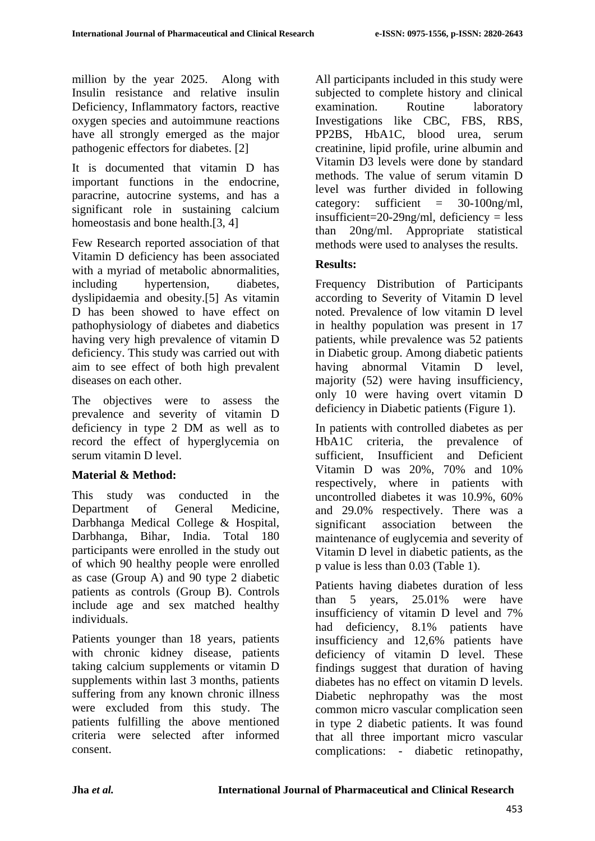million by the year 2025. Along with Insulin resistance and relative insulin Deficiency, Inflammatory factors, reactive oxygen species and autoimmune reactions have all strongly emerged as the major pathogenic effectors for diabetes. [2]

It is documented that vitamin D has important functions in the endocrine, paracrine, autocrine systems, and has a significant role in sustaining calcium homeostasis and bone health.[3, 4]

Few Research reported association of that Vitamin D deficiency has been associated with a myriad of metabolic abnormalities, including hypertension, diabetes, dyslipidaemia and obesity.[5] As vitamin D has been showed to have effect on pathophysiology of diabetes and diabetics having very high prevalence of vitamin D deficiency. This study was carried out with aim to see effect of both high prevalent diseases on each other.

The objectives were to assess the prevalence and severity of vitamin D deficiency in type 2 DM as well as to record the effect of hyperglycemia on serum vitamin D level.

## **Material & Method:**

This study was conducted in the Department of General Medicine, Darbhanga Medical College & Hospital, Darbhanga, Bihar, India. Total 180 participants were enrolled in the study out of which 90 healthy people were enrolled as case (Group A) and 90 type 2 diabetic patients as controls (Group B). Controls include age and sex matched healthy individuals.

Patients younger than 18 years, patients with chronic kidney disease, patients taking calcium supplements or vitamin D supplements within last 3 months, patients suffering from any known chronic illness were excluded from this study. The patients fulfilling the above mentioned criteria were selected after informed consent.

All participants included in this study were subjected to complete history and clinical examination. Routine laboratory Investigations like CBC, FBS, RBS, PP2BS, HbA1C, blood urea, serum creatinine, lipid profile, urine albumin and Vitamin D3 levels were done by standard methods. The value of serum vitamin D level was further divided in following category: sufficient  $=$  30-100ng/ml, insufficient=20-29ng/ml, deficiency = less than 20ng/ml. Appropriate statistical methods were used to analyses the results.

### **Results:**

Frequency Distribution of Participants according to Severity of Vitamin D level noted. Prevalence of low vitamin D level in healthy population was present in 17 patients, while prevalence was 52 patients in Diabetic group. Among diabetic patients having abnormal Vitamin D level, majority (52) were having insufficiency, only 10 were having overt vitamin D deficiency in Diabetic patients (Figure 1).

In patients with controlled diabetes as per HbA1C criteria, the prevalence of sufficient, Insufficient and Deficient Vitamin D was 20%, 70% and 10% respectively, where in patients with uncontrolled diabetes it was 10.9%, 60% and 29.0% respectively. There was a significant association between the maintenance of euglycemia and severity of Vitamin D level in diabetic patients, as the p value is less than 0.03 (Table 1).

Patients having diabetes duration of less than 5 years, 25.01% were have insufficiency of vitamin D level and 7% had deficiency, 8.1% patients have insufficiency and 12,6% patients have deficiency of vitamin D level. These findings suggest that duration of having diabetes has no effect on vitamin D levels. Diabetic nephropathy was the most common micro vascular complication seen in type 2 diabetic patients. It was found that all three important micro vascular complications: - diabetic retinopathy,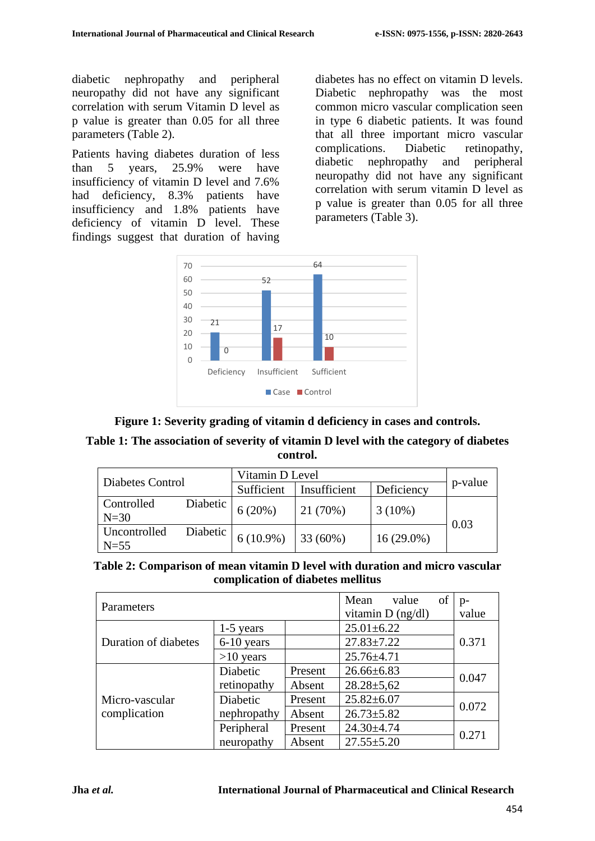diabetic nephropathy and peripheral neuropathy did not have any significant correlation with serum Vitamin D level as p value is greater than 0.05 for all three parameters (Table 2).

Patients having diabetes duration of less than 5 years, 25.9% were have insufficiency of vitamin D level and 7.6% had deficiency, 8.3% patients have insufficiency and 1.8% patients have deficiency of vitamin D level. These findings suggest that duration of having diabetes has no effect on vitamin D levels. Diabetic nephropathy was the most common micro vascular complication seen in type 6 diabetic patients. It was found that all three important micro vascular complications. Diabetic retinopathy, diabetic nephropathy and peripheral neuropathy did not have any significant correlation with serum vitamin D level as p value is greater than 0.05 for all three parameters (Table 3).



**Figure 1: Severity grading of vitamin d deficiency in cases and controls.**

### **Table 1: The association of severity of vitamin D level with the category of diabetes control.**

| Diabetes Control       |          | Vitamin D Level |              |              |         |
|------------------------|----------|-----------------|--------------|--------------|---------|
|                        |          | Sufficient      | Insufficient | Deficiency   | p-value |
| Controlled<br>$N=30$   | Diabetic | 6(20%)          | 21 (70%)     | $3(10\%)$    |         |
| Uncontrolled<br>$N=55$ | Diabetic | $6(10.9\%)$     | 33 (60%)     | $16(29.0\%)$ | 0.03    |

#### **Table 2: Comparison of mean vitamin D level with duration and micro vascular complication of diabetes mellitus**

| Parameters                     |              |         | Mean<br>value       | of | $p-$  |  |
|--------------------------------|--------------|---------|---------------------|----|-------|--|
|                                |              |         | vitamin $D$ (ng/dl) |    | value |  |
| Duration of diabetes           | $1-5$ years  |         | $25.01 \pm 6.22$    |    |       |  |
|                                | $6-10$ years |         | $27.83 \pm 7.22$    |    | 0.371 |  |
|                                | $>10$ years  |         | $25.76 \pm 4.71$    |    |       |  |
| Micro-vascular<br>complication | Diabetic     | Present | $26.66 \pm 6.83$    |    | 0.047 |  |
|                                | retinopathy  | Absent  | $28.28 \pm 5.62$    |    |       |  |
|                                | Diabetic     | Present | $25.82 \pm 6.07$    |    | 0.072 |  |
|                                | nephropathy  | Absent  | $26.73 \pm 5.82$    |    |       |  |
|                                | Peripheral   | Present | 24.30±4.74          |    | 0.271 |  |
|                                | neuropathy   | Absent  | $27.55 \pm 5.20$    |    |       |  |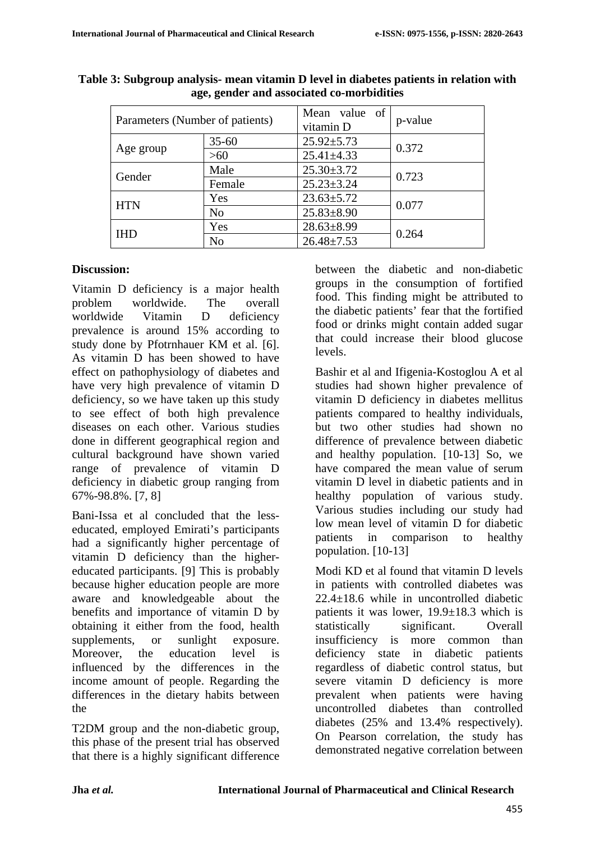| Parameters (Number of patients) |                | Mean value of<br>vitamin D | p-value |  |
|---------------------------------|----------------|----------------------------|---------|--|
| Age group                       | $35 - 60$      | $25.92 \pm 5.73$           | 0.372   |  |
|                                 | >60            | $25.41 \pm 4.33$           |         |  |
| Gender                          | Male           | $25.30 \pm 3.72$           | 0.723   |  |
|                                 | Female         | $25.23 \pm 3.24$           |         |  |
| <b>HTN</b>                      | Yes            | $23.63 \pm 5.72$           | 0.077   |  |
|                                 | N <sub>o</sub> | $25.83 \pm 8.90$           |         |  |
| <b>IHD</b>                      | Yes            | $28.63 \pm 8.99$           | 0.264   |  |
|                                 | N <sub>o</sub> |                            |         |  |

| Table 3: Subgroup analysis- mean vitamin D level in diabetes patients in relation with |
|----------------------------------------------------------------------------------------|
| age, gender and associated co-morbidities                                              |

### **Discussion:**

Vitamin D deficiency is a major health problem worldwide. The overall worldwide Vitamin D deficiency prevalence is around 15% according to study done by Pfotrnhauer KM et al. [6]. As vitamin D has been showed to have effect on pathophysiology of diabetes and have very high prevalence of vitamin D deficiency, so we have taken up this study to see effect of both high prevalence diseases on each other. Various studies done in different geographical region and cultural background have shown varied range of prevalence of vitamin D deficiency in diabetic group ranging from 67%-98.8%. [7, 8]

Bani-Issa et al concluded that the lesseducated, employed Emirati's participants had a significantly higher percentage of vitamin D deficiency than the highereducated participants. [9] This is probably because higher education people are more aware and knowledgeable about the benefits and importance of vitamin D by obtaining it either from the food, health supplements, or sunlight exposure. Moreover, the education level is influenced by the differences in the income amount of people. Regarding the differences in the dietary habits between the

T2DM group and the non-diabetic group, this phase of the present trial has observed that there is a highly significant difference

between the diabetic and non-diabetic groups in the consumption of fortified food. This finding might be attributed to the diabetic patients' fear that the fortified food or drinks might contain added sugar that could increase their blood glucose levels.

Bashir et al and Ifigenia-Kostoglou A et al studies had shown higher prevalence of vitamin D deficiency in diabetes mellitus patients compared to healthy individuals, but two other studies had shown no difference of prevalence between diabetic and healthy population. [10-13] So, we have compared the mean value of serum vitamin D level in diabetic patients and in healthy population of various study. Various studies including our study had low mean level of vitamin D for diabetic patients in comparison to healthy population. [10-13]

Modi KD et al found that vitamin D levels in patients with controlled diabetes was 22.4±18.6 while in uncontrolled diabetic patients it was lower, 19.9±18.3 which is statistically significant. Overall insufficiency is more common than deficiency state in diabetic patients regardless of diabetic control status, but severe vitamin D deficiency is more prevalent when patients were having uncontrolled diabetes than controlled diabetes (25% and 13.4% respectively). On Pearson correlation, the study has demonstrated negative correlation between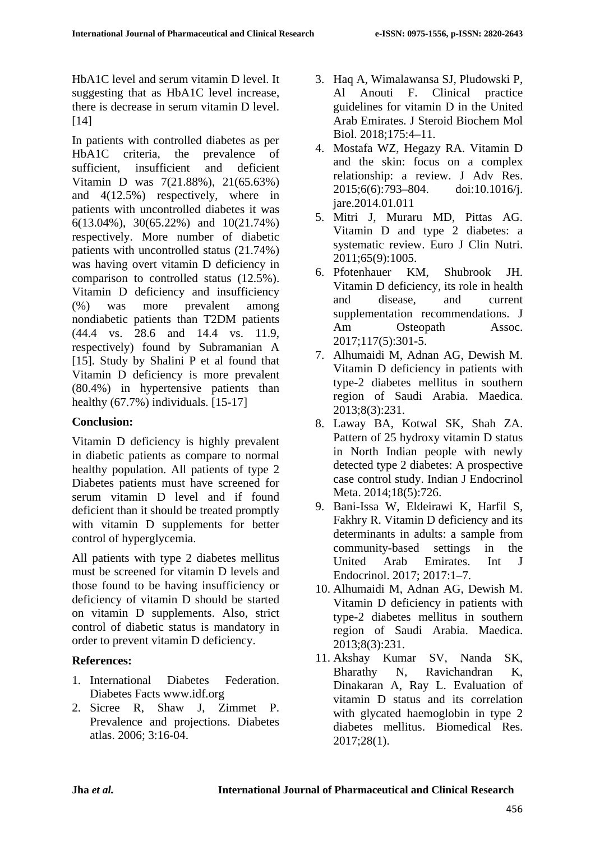HbA1C level and serum vitamin D level. It suggesting that as HbA1C level increase, there is decrease in serum vitamin D level.  $[14]$ 

In patients with controlled diabetes as per HbA1C criteria, the prevalence of sufficient, insufficient and deficient Vitamin D was 7(21.88%), 21(65.63%) and 4(12.5%) respectively, where in patients with uncontrolled diabetes it was 6(13.04%), 30(65.22%) and 10(21.74%) respectively. More number of diabetic patients with uncontrolled status (21.74%) was having overt vitamin D deficiency in comparison to controlled status (12.5%). Vitamin D deficiency and insufficiency (%) was more prevalent among nondiabetic patients than T2DM patients (44.4 vs. 28.6 and 14.4 vs. 11.9, respectively) found by Subramanian A [15]. Study by Shalini P et al found that Vitamin D deficiency is more prevalent (80.4%) in hypertensive patients than healthy (67.7%) individuals. [15-17]

#### **Conclusion:**

Vitamin D deficiency is highly prevalent in diabetic patients as compare to normal healthy population. All patients of type 2 Diabetes patients must have screened for serum vitamin D level and if found deficient than it should be treated promptly with vitamin D supplements for better control of hyperglycemia.

All patients with type 2 diabetes mellitus must be screened for vitamin D levels and those found to be having insufficiency or deficiency of vitamin D should be started on vitamin D supplements. Also, strict control of diabetic status is mandatory in order to prevent vitamin D deficiency.

## **References:**

- 1. International Diabetes Federation. Diabetes Facts www.idf.org
- 2. Sicree R, Shaw J, Zimmet P. Prevalence and projections. Diabetes atlas. 2006; 3:16-04.
- 3. Haq A, Wimalawansa SJ, Pludowski P, Al Anouti F. Clinical practice guidelines for vitamin D in the United Arab Emirates. J Steroid Biochem Mol Biol. 2018;175:4–11.
- 4. Mostafa WZ, Hegazy RA. Vitamin D and the skin: focus on a complex relationship: a review. J Adv Res. 2015;6(6):793–804. doi:10.1016/j. jare.2014.01.011
- 5. Mitri J, Muraru MD, Pittas AG. Vitamin D and type 2 diabetes: a systematic review. Euro J Clin Nutri. 2011;65(9):1005.
- 6. Pfotenhauer KM, Shubrook JH. Vitamin D deficiency, its role in health and disease, and current supplementation recommendations. J Am Osteopath Assoc. 2017;117(5):301-5.
- 7. Alhumaidi M, Adnan AG, Dewish M. Vitamin D deficiency in patients with type-2 diabetes mellitus in southern region of Saudi Arabia. Maedica. 2013;8(3):231.
- 8. Laway BA, Kotwal SK, Shah ZA. Pattern of 25 hydroxy vitamin D status in North Indian people with newly detected type 2 diabetes: A prospective case control study. Indian J Endocrinol Meta. 2014;18(5):726.
- 9. Bani-Issa W, Eldeirawi K, Harfil S, Fakhry R. Vitamin D deficiency and its determinants in adults: a sample from community-based settings in the United Arab Emirates. Int J Endocrinol. 2017; 2017:1–7.
- 10. Alhumaidi M, Adnan AG, Dewish M. Vitamin D deficiency in patients with type-2 diabetes mellitus in southern region of Saudi Arabia. Maedica. 2013;8(3):231.
- 11. Akshay Kumar SV, Nanda SK, Bharathy N, Ravichandran K, Dinakaran A, Ray L. Evaluation of vitamin D status and its correlation with glycated haemoglobin in type 2 diabetes mellitus. Biomedical Res. 2017;28(1).